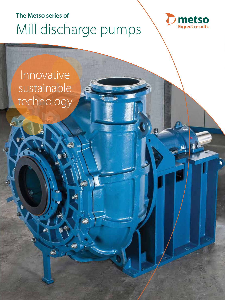**The Metso series of**  Mill discharge pumps

2



Innovative sustainable technology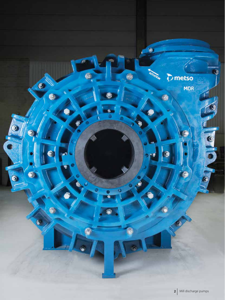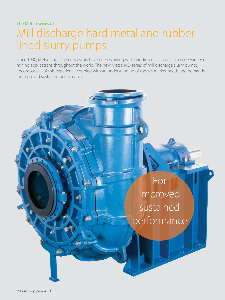### **The Metso series of**

## Mill discharge hard metal and rubber lined slurry pumps

Since 1930, Metso and it's predecessors have been working with grinding mill circuits in a wide variety of mining applications throughout the world. The new Metso MD series of mill discharge slurry pumps encompass all of this experience coupled with an understanding of today's market needs and demands for improved sustained performance.

> For improved sustained performance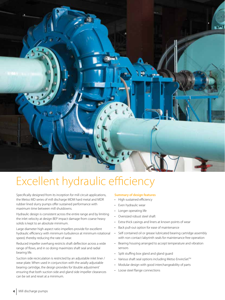

# Excellent hydraulic efficiency

Specifically designed from its inception for mill circuit applications, the Metso MD series of mill discharge MDM hard metal and MDR rubber lined slurry pumps offer sustained performance with maximum time between mill shutdowns.

Hydraulic design is consistent across the entire range and by limiting the inlet velocity at design BEP impact damage from coarse heavy solids is kept to an absolute minimum.

Large diameter high aspect ratio impellers provide for excellent hydraulic efficiency with minimum turbulence at minimum rotational speed, thereby reducing the rate of wear.

Reduced impeller overhang restricts shaft deflection across a wide range of flows, and in so doing maximizes shaft seal and radial bearing life.

Suction side recirculation is restricted by an adjustable inlet liner / wear plate. When used in conjunction with the axially adjustable bearing cartridge, the design provides for 'double adjustment' ensuring that both suction side and gland side impeller clearances can be set and reset at a minimum.

#### **Summary of design features**

- • High sustained efficiency
- • Even hydraulic wear
- Longer operating life
- Oversized robust steel shaft
- • Extra thick casings and liners at known points of wear
- • Back pull-out option for ease of maintenance
- Self contained oil or grease lubricated bearing cartridge assembly with non contact labyrinth seals for maintenance free operation
- Bearing housing arranged to accept temperature and vibration sensors
- • Split stuffing box gland and gland guard
- Various shaft seal options including Metso EnviroSet<sup>TM</sup>
- • Modular design with good interchangeability of parts
- • Loose steel flange connections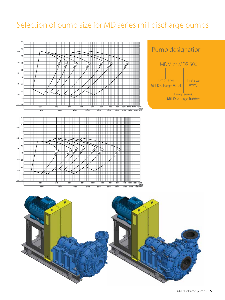### Selection of pump size for MD series mill discharge pumps

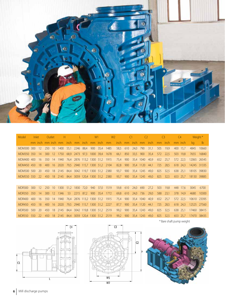

| Model                                                                                                          | <b>Inlet</b> |  | Outlet |  |  |  |  |  | W <sub>1</sub> |  | W <sub>2</sub>                                                                  |  | $\mathcal{C}^1$ |  | $\left( \right)$ |  | - 63 |  | <sup>(4)</sup> |          | Weight *             |             |
|----------------------------------------------------------------------------------------------------------------|--------------|--|--------|--|--|--|--|--|----------------|--|---------------------------------------------------------------------------------|--|-----------------|--|------------------|--|------|--|----------------|----------|----------------------|-------------|
|                                                                                                                |              |  |        |  |  |  |  |  |                |  | mm inch mm inch mm inch mm inch mm inch mm inch mm inch mm inch mm inch mm inch |  |                 |  |                  |  |      |  |                |          | - kal                | - Ib        |
| MDM300 300 12 250 10 1400 55,1 2246 88,4 900 35,4 1485 58,5 610 24,0 790 31,1 505 19,9                         |              |  |        |  |  |  |  |  |                |  |                                                                                 |  |                 |  |                  |  |      |  |                | 400 15.7 |                      | 4845 10660  |
| MDM350 350 14 300 12 1750 68,9 2473 97,3 1000 39,4 1678 66,1 850 33,5 900 35,4 572 22,5                        |              |  |        |  |  |  |  |  |                |  |                                                                                 |  |                 |  |                  |  |      |  |                | 503 19.8 |                      | 7655 16840  |
| MDM400 400 16 350 14 1940 76,4 2876 113,2 1300 51,2 1915 75,4 900 35,4 1040 40,9 652 25,7                      |              |  |        |  |  |  |  |  |                |  |                                                                                 |  |                 |  |                  |  |      |  |                |          | 572 22.5 12065 26545 |             |
| MDM450 450 18 400 16 2020 79,5 2940 115,7 1300 51,2 2104 82,8 900 35,4 1120 44,1 725 28,5 618 24,3 14245 31335 |              |  |        |  |  |  |  |  |                |  |                                                                                 |  |                 |  |                  |  |      |  |                |          |                      |             |
| MDM500 500 20 450 18 2145 84,4 3042 119,7 1300 51,2 2380 93,7 900 35,4 1245 49,0 825 32,5                      |              |  |        |  |  |  |  |  |                |  |                                                                                 |  |                 |  |                  |  |      |  |                | 638 25.1 |                      | 18105 39830 |
| MDM550 550 22 450 18 2145 84,4 3059 120,4 1300 51,2 2380 93,7 900 35,4 1245 49,0 825 32,5                      |              |  |        |  |  |  |  |  |                |  |                                                                                 |  |                 |  |                  |  |      |  |                | 653 25.7 |                      | 18130 39885 |
|                                                                                                                |              |  |        |  |  |  |  |  |                |  |                                                                                 |  |                 |  |                  |  |      |  |                |          |                      |             |

MDR300 300 12 250 10 1300 51,2 1830 72,0 940 37,0 1519 59,8 610 24,0 690 27,2 503 19,8 448 17,6 3045 6700 MDR350 350 14 300 12 1346 53 2215 87,2 900 35,4 1772 69,8 610 24,0 736 29,0 588 23,1 378 14,9 4680 10300 MDR400 400 16 350 14 1940 76,4 2876 113,2 1300 51,2 1915 75,4 900 35,4 1040 40,9 652 25,7 572 22,5 10610 23395 MDR450 450 18 400 16 2020 79,5 2940 115,7 1300 51,2 2227 87,7 900 35,4 1120 44,1 725 28,5 618 24,3 12525 27560 MDR500 500 20 450 18 2145 84,4 3042 119,8 1300 51,2 2519 99,2 900 35,4 1243 49,0 825 32,5 638 25,1 17460 38415 MDR550 550 22 450 18 2145 84,4 3059 120,4 1300 51,2 2519 99,2 900 35,4 1243 49,0 825 32,5 653 25,7 17470 38435





 \* Bare shaft pump weight

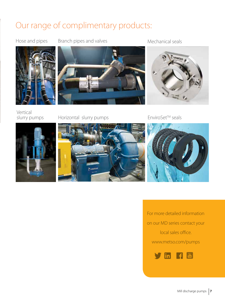## Our range of complimentary products:

Hose and pipes Branch pipes and valves

Mechanical seals



Vertical<br>slurry pumps



Horizontal slurry pumps EnviroSet™ seals





For more detailed information on our MD series contact your local sales office. www.metso.com/pumps